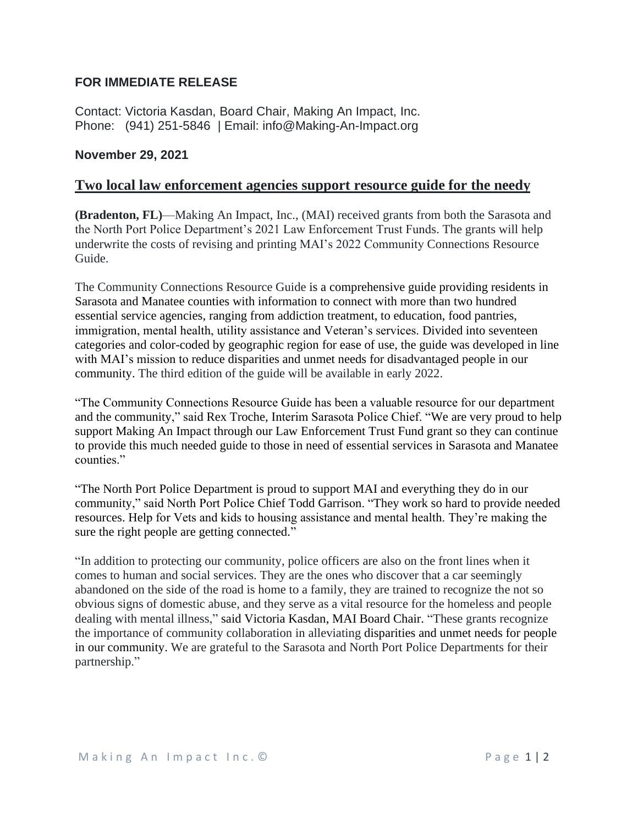## **FOR IMMEDIATE RELEASE**

Contact: Victoria Kasdan, Board Chair, Making An Impact, Inc. Phone: (941) 251-5846 | Email: info@Making-An-Impact.org

## **November 29, 2021**

## **Two local law enforcement agencies support resource guide for the needy**

**(Bradenton, FL)**—Making An Impact, Inc., (MAI) received grants from both the Sarasota and the North Port Police Department's 2021 Law Enforcement Trust Funds. The grants will help underwrite the costs of revising and printing MAI's 2022 Community Connections Resource Guide.

The Community Connections Resource Guide is a comprehensive guide providing residents in Sarasota and Manatee counties with information to connect with more than two hundred essential service agencies, ranging from addiction treatment, to education, food pantries, immigration, mental health, utility assistance and Veteran's services. Divided into seventeen categories and color-coded by geographic region for ease of use, the guide was developed in line with MAI's mission to reduce disparities and unmet needs for disadvantaged people in our community. The third edition of the guide will be available in early 2022.

"The Community Connections Resource Guide has been a valuable resource for our department and the community," said Rex Troche, Interim Sarasota Police Chief. "We are very proud to help support Making An Impact through our Law Enforcement Trust Fund grant so they can continue to provide this much needed guide to those in need of essential services in Sarasota and Manatee counties."

"The North Port Police Department is proud to support MAI and everything they do in our community," said North Port Police Chief Todd Garrison. "They work so hard to provide needed resources. Help for Vets and kids to housing assistance and mental health. They're making the sure the right people are getting connected."

"In addition to protecting our community, police officers are also on the front lines when it comes to human and social services. They are the ones who discover that a car seemingly abandoned on the side of the road is home to a family, they are trained to recognize the not so obvious signs of domestic abuse, and they serve as a vital resource for the homeless and people dealing with mental illness," said Victoria Kasdan, MAI Board Chair. "These grants recognize the importance of community collaboration in alleviating disparities and unmet needs for people in our community. We are grateful to the Sarasota and North Port Police Departments for their partnership."